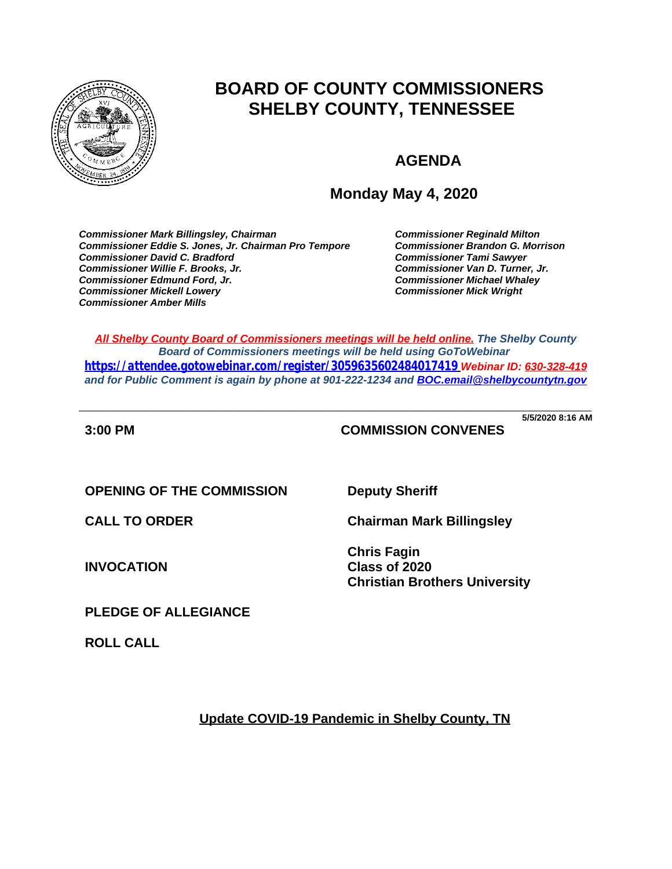

# **BOARD OF COUNTY COMMISSIONERS SHELBY COUNTY, TENNESSEE**

## **AGENDA**

## **Monday May 4, 2020**

*Commissioner Mark Billingsley, Chairman Commissioner Reginald Milton Commissioner Eddie S. Jones, Jr. Chairman Pro Tempore Commissioner Brandon G. Morrison Commissioner David C. Bradford Commissioner Tami Sawyer Commissioner Willie F. Brooks, Jr. Commissioner Van D. Turner, Jr. Commissioner Edmund Ford, Jr. Commissioner Michael Whaley Commissioner Mickell Lowery Commissioner Mick Wright Commissioner Amber Mills*

*All Shelby County Board of Commissioners meetings will be held online. The Shelby County Board of Commissioners meetings will be held using GoToWebinar <https://attendee.gotowebinar.com/register/3059635602484017419> Webinar ID: 630-328-419 and for Public Comment is again by phone at 901-222-1234 and [BOC.email@shelbycountytn.gov](mailto:BOC.email@shelbycountytn.gov)*

**3:00 PM COMMISSION CONVENES**

**\_\_\_\_\_\_\_\_\_\_\_\_\_\_\_\_\_\_\_\_\_\_\_\_\_\_\_\_\_\_\_\_\_\_\_\_\_\_\_\_\_\_\_\_\_\_\_\_\_\_\_\_\_\_\_\_\_\_\_\_\_\_\_\_\_\_\_\_\_\_ 5/5/2020 8:16 AM**

**OPENING OF THE COMMISSION Deputy Sheriff** 

**INVOCATION**

**CALL TO ORDER Chairman Mark Billingsley**

**Chris Fagin Class of 2020 Christian Brothers University**

**PLEDGE OF ALLEGIANCE**

**ROLL CALL**

**Update COVID-19 Pandemic in Shelby County, TN**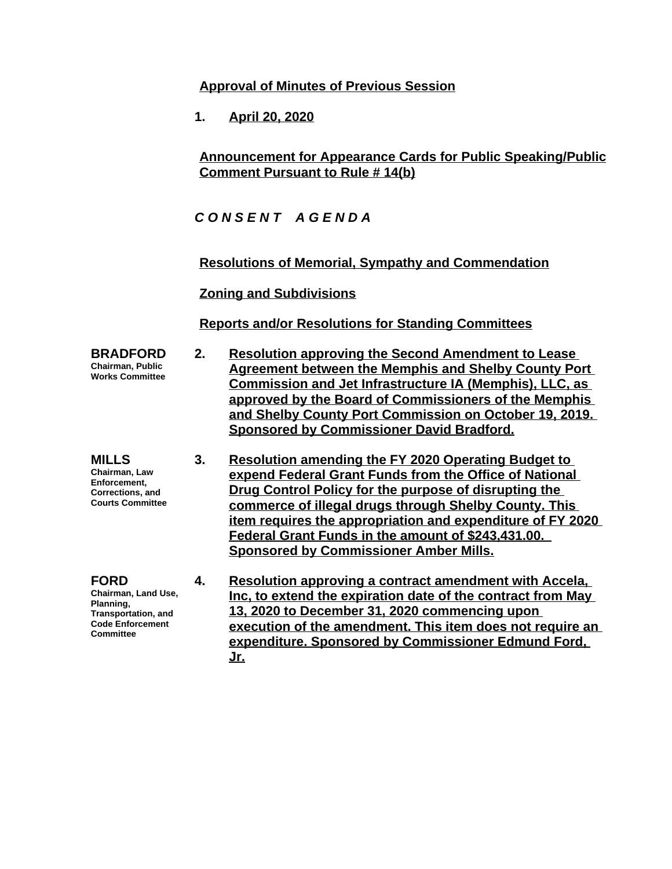## **Approval of Minutes of Previous Session**

**1. April 20, 2020**

## **Announcement for Appearance Cards for Public Speaking/Public Comment Pursuant to Rule # 14(b)**

*C O N S E N T A G E N D A*

**Resolutions of Memorial, Sympathy and Commendation**

**Zoning and Subdivisions**

**Reports and/or Resolutions for Standing Committees**

- **2. Resolution approving the Second Amendment to Lease Agreement between the Memphis and Shelby County Port Commission and Jet Infrastructure IA (Memphis), LLC, as approved by the Board of Commissioners of the Memphis and Shelby County Port Commission on October 19, 2019. Sponsored by Commissioner David Bradford.**
	- **3. Resolution amending the FY 2020 Operating Budget to expend Federal Grant Funds from the Office of National Drug Control Policy for the purpose of disrupting the commerce of illegal drugs through Shelby County. This item requires the appropriation and expenditure of FY 2020 Federal Grant Funds in the amount of \$243,431.00. Sponsored by Commissioner Amber Mills.**
	- **4. Resolution approving a contract amendment with Accela, Inc, to extend the expiration date of the contract from May 13, 2020 to December 31, 2020 commencing upon execution of the amendment. This item does not require an expenditure. Sponsored by Commissioner Edmund Ford, Jr.**
- **BRADFORD Chairman, Public Works Committee**
- **MILLS Chairman, Law Enforcement, Corrections, and Courts Committee**
- **FORD Chairman, Land Use, Planning, Transportation, and Code Enforcement Committee**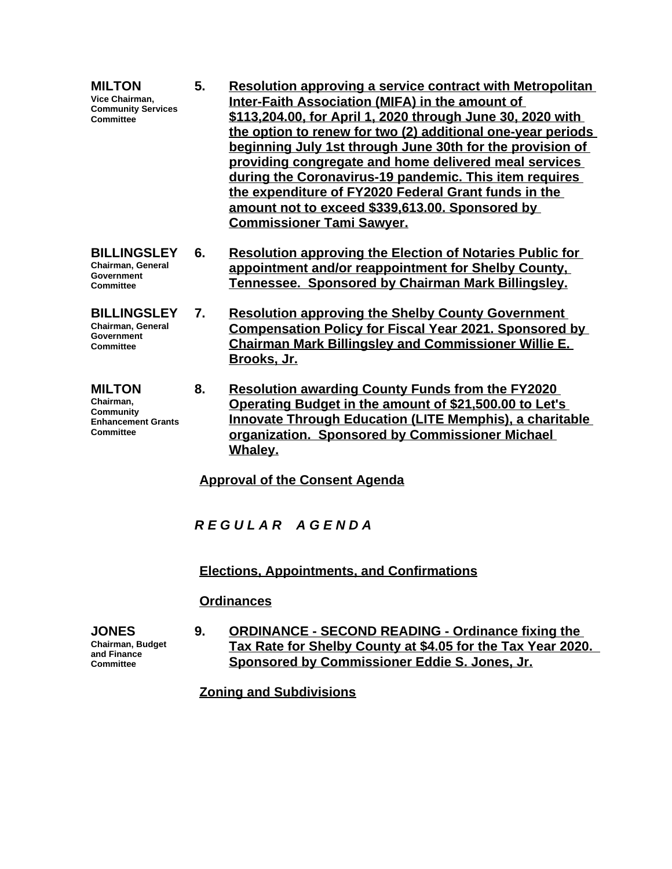- **MILTON Vice Chairman, Community Services Committee 5. Resolution approving a service contract with Metropolitan Inter-Faith Association (MIFA) in the amount of \$113,204.00, for April 1, 2020 through June 30, 2020 with the option to renew for two (2) additional one-year periods beginning July 1st through June 30th for the provision of providing congregate and home delivered meal services during the Coronavirus-19 pandemic. This item requires the expenditure of FY2020 Federal Grant funds in the amount not to exceed \$339,613.00. Sponsored by Commissioner Tami Sawyer.**
- **BILLINGSLEY 6. Resolution approving the Election of Notaries Public for appointment and/or reappointment for Shelby County, Tennessee. Sponsored by Chairman Mark Billingsley.**
	- **7. Resolution approving the Shelby County Government Compensation Policy for Fiscal Year 2021. Sponsored by Chairman Mark Billingsley and Commissioner Willie E. Brooks, Jr.**
		- **8. Resolution awarding County Funds from the FY2020 Operating Budget in the amount of \$21,500.00 to Let's Innovate Through Education (LITE Memphis), a charitable organization. Sponsored by Commissioner Michael Whaley.**

**Approval of the Consent Agenda**

*R E G U L A R A G E N D A*

**Elections, Appointments, and Confirmations**

## **Ordinances**

**JONES Chairman, Budget and Finance Committee**

**9. ORDINANCE - SECOND READING - Ordinance fixing the Tax Rate for Shelby County at \$4.05 for the Tax Year 2020. Sponsored by Commissioner Eddie S. Jones, Jr.**

**Zoning and Subdivisions**

**Chairman, General Government Committee**

- **BILLINGSLEY Chairman, General Government Committee**
- **MILTON Chairman, Community Enhancement Grants Committee**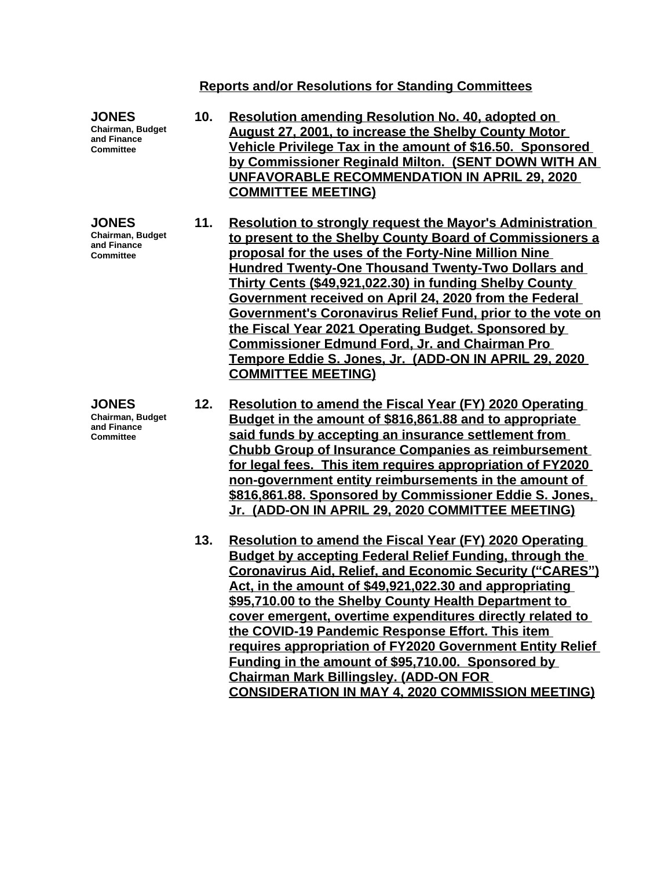#### **Reports and/or Resolutions for Standing Committees**

**JONES Chairman, Budget and Finance Committee 10. Resolution amending Resolution No. 40, adopted on August 27, 2001, to increase the Shelby County Motor Vehicle Privilege Tax in the amount of \$16.50. Sponsored by Commissioner Reginald Milton. (SENT DOWN WITH AN UNFAVORABLE RECOMMENDATION IN APRIL 29, 2020 COMMITTEE MEETING) JONES Chairman, Budget and Finance Committee 11. Resolution to strongly request the Mayor's Administration to present to the Shelby County Board of Commissioners a proposal for the uses of the Forty-Nine Million Nine Hundred Twenty-One Thousand Twenty-Two Dollars and Thirty Cents (\$49,921,022.30) in funding Shelby County Government received on April 24, 2020 from the Federal Government's Coronavirus Relief Fund, prior to the vote on the Fiscal Year 2021 Operating Budget. Sponsored by Commissioner Edmund Ford, Jr. and Chairman Pro Tempore Eddie S. Jones, Jr. (ADD-ON IN APRIL 29, 2020 COMMITTEE MEETING) JONES Chairman, Budget and Finance Committee 12. Resolution to amend the Fiscal Year (FY) 2020 Operating Budget in the amount of \$816,861.88 and to appropriate said funds by accepting an insurance settlement from Chubb Group of Insurance Companies as reimbursement for legal fees. This item requires appropriation of FY2020 non-government entity reimbursements in the amount of \$816,861.88. Sponsored by Commissioner Eddie S. Jones, Jr. (ADD-ON IN APRIL 29, 2020 COMMITTEE MEETING) 13. Resolution to amend the Fiscal Year (FY) 2020 Operating Budget by accepting Federal Relief Funding, through the Coronavirus Aid, Relief, and Economic Security ("CARES") Act, in the amount of \$49,921,022.30 and appropriating \$95,710.00 to the Shelby County Health Department to** 

**cover emergent, overtime expenditures directly related to** 

**requires appropriation of FY2020 Government Entity Relief** 

**CONSIDERATION IN MAY 4, 2020 COMMISSION MEETING)**

**the COVID-19 Pandemic Response Effort. This item** 

**Funding in the amount of \$95,710.00. Sponsored by** 

**Chairman Mark Billingsley. (ADD-ON FOR**